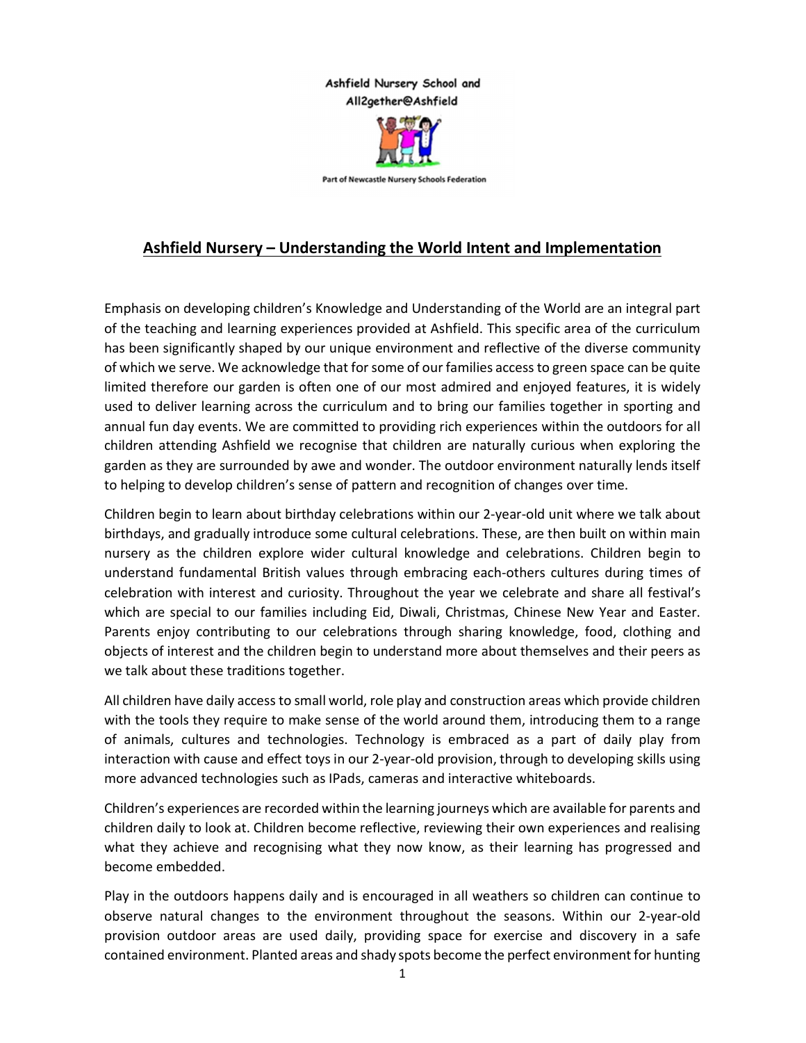## Ashfield Nursery School and All2gether@Ashfield



Part of Newcastle Nursery Schools Federation

## Ashfield Nursery – Understanding the World Intent and Implementation

Emphasis on developing children's Knowledge and Understanding of the World are an integral part of the teaching and learning experiences provided at Ashfield. This specific area of the curriculum has been significantly shaped by our unique environment and reflective of the diverse community of which we serve. We acknowledge that for some of our families access to green space can be quite limited therefore our garden is often one of our most admired and enjoyed features, it is widely used to deliver learning across the curriculum and to bring our families together in sporting and annual fun day events. We are committed to providing rich experiences within the outdoors for all children attending Ashfield we recognise that children are naturally curious when exploring the garden as they are surrounded by awe and wonder. The outdoor environment naturally lends itself to helping to develop children's sense of pattern and recognition of changes over time.

Children begin to learn about birthday celebrations within our 2-year-old unit where we talk about birthdays, and gradually introduce some cultural celebrations. These, are then built on within main nursery as the children explore wider cultural knowledge and celebrations. Children begin to understand fundamental British values through embracing each-others cultures during times of celebration with interest and curiosity. Throughout the year we celebrate and share all festival's which are special to our families including Eid, Diwali, Christmas, Chinese New Year and Easter. Parents enjoy contributing to our celebrations through sharing knowledge, food, clothing and objects of interest and the children begin to understand more about themselves and their peers as we talk about these traditions together.

All children have daily access to small world, role play and construction areas which provide children with the tools they require to make sense of the world around them, introducing them to a range of animals, cultures and technologies. Technology is embraced as a part of daily play from interaction with cause and effect toys in our 2-year-old provision, through to developing skills using more advanced technologies such as IPads, cameras and interactive whiteboards.

Children's experiences are recorded within the learning journeys which are available for parents and children daily to look at. Children become reflective, reviewing their own experiences and realising what they achieve and recognising what they now know, as their learning has progressed and become embedded.

Play in the outdoors happens daily and is encouraged in all weathers so children can continue to observe natural changes to the environment throughout the seasons. Within our 2-year-old provision outdoor areas are used daily, providing space for exercise and discovery in a safe contained environment. Planted areas and shady spots become the perfect environment for hunting